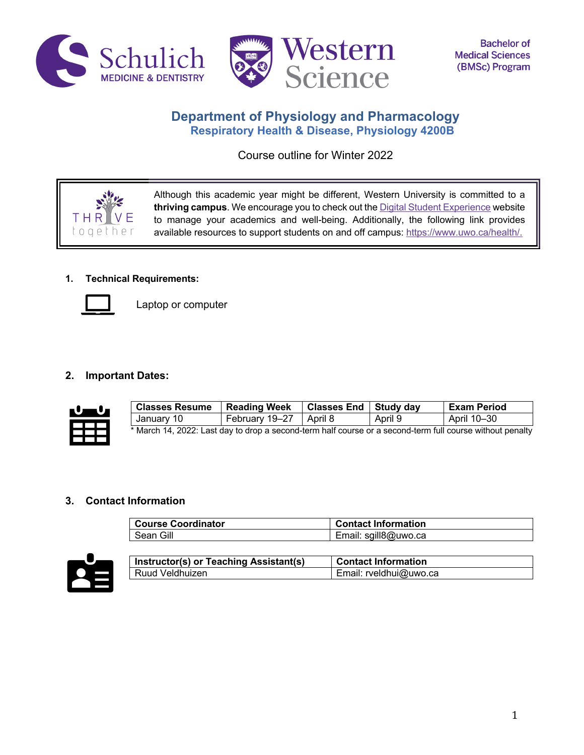



# **Department of Physiology and Pharmacology Respiratory Health & Disease, Physiology 4200B**

Course outline for Winter 2022

Although this academic year might be different, Western University is committed to a **thriving campus**. We encourage you to check out the Digital Student Experience website to manage your academics and well-being. Additionally, the following link provides available resources to support students on and off campus: https://www.uwo.ca/health/.

# **1. Technical Requirements:**



THR  $O$   $O$   $e$ 

Laptop or computer

# **2. Important Dates:**



| <b>Classes Resume</b>                                                                                     | <b>Reading Week</b>      | Classes End   Study day |         | l Exam Period |
|-----------------------------------------------------------------------------------------------------------|--------------------------|-------------------------|---------|---------------|
| January 10                                                                                                | February 19–27   April 8 |                         | April 9 | April 10–30   |
| * March 14, 2022: Last day to drop a second-term half course or a second-term full course without penalty |                          |                         |         |               |

# **3. Contact Information**

| <b>Course Coordinator</b> | <b>Contact Information</b> |
|---------------------------|----------------------------|
| Sean Gill                 | Email: sgill8@uwo.ca       |



| Instructor(s) or Teaching Assistant(s) | l Contact Information  |
|----------------------------------------|------------------------|
| Ruud Veldhuizen                        | Email: rveldhui@uwo.ca |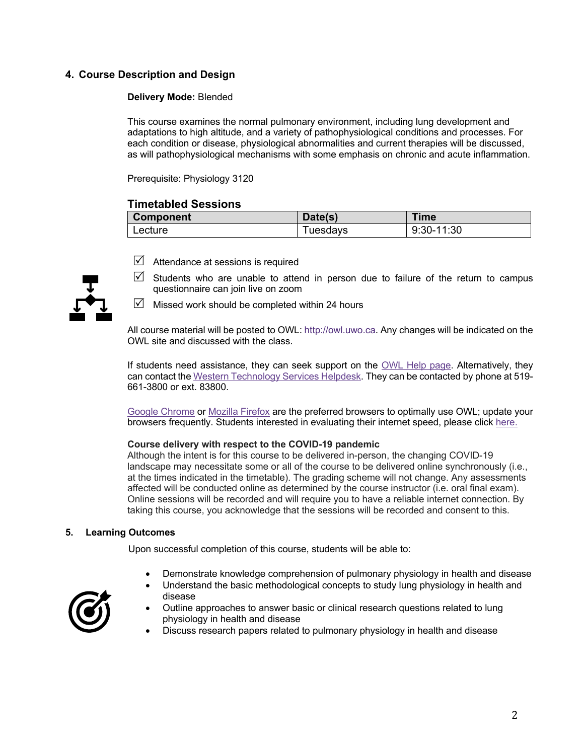# **4. Course Description and Design**

### **Delivery Mode:** Blended

This course examines the normal pulmonary environment, including lung development and adaptations to high altitude, and a variety of pathophysiological conditions and processes. For each condition or disease, physiological abnormalities and current therapies will be discussed, as will pathophysiological mechanisms with some emphasis on chronic and acute inflammation.

Prerequisite: Physiology 3120

# **Timetabled Sessions**

| <b>Component</b> | Date(s)  | Time       |
|------------------|----------|------------|
| Lecture          | Tuesdavs | 9:30-11:30 |



- $\boxtimes$  Attendance at sessions is required
- $\triangledown$  Students who are unable to attend in person due to failure of the return to campus questionnaire can join live on zoom
- $\triangledown$  Missed work should be completed within 24 hours

All course material will be posted to OWL: http://owl.uwo.ca. Any changes will be indicated on the OWL site and discussed with the class.

If students need assistance, they can seek support on the OWL Help page. Alternatively, they can contact the Western Technology Services Helpdesk. They can be contacted by phone at 519- 661-3800 or ext. 83800.

Google Chrome or Mozilla Firefox are the preferred browsers to optimally use OWL; update your browsers frequently. Students interested in evaluating their internet speed, please click here.

#### **Course delivery with respect to the COVID-19 pandemic**

Although the intent is for this course to be delivered in-person, the changing COVID-19 landscape may necessitate some or all of the course to be delivered online synchronously (i.e., at the times indicated in the timetable). The grading scheme will not change. Any assessments affected will be conducted online as determined by the course instructor (i.e. oral final exam). Online sessions will be recorded and will require you to have a reliable internet connection. By taking this course, you acknowledge that the sessions will be recorded and consent to this.

#### **5. Learning Outcomes**

Upon successful completion of this course, students will be able to:

- Demonstrate knowledge comprehension of pulmonary physiology in health and disease
- Understand the basic methodological concepts to study lung physiology in health and disease



- Outline approaches to answer basic or clinical research questions related to lung physiology in health and disease
- Discuss research papers related to pulmonary physiology in health and disease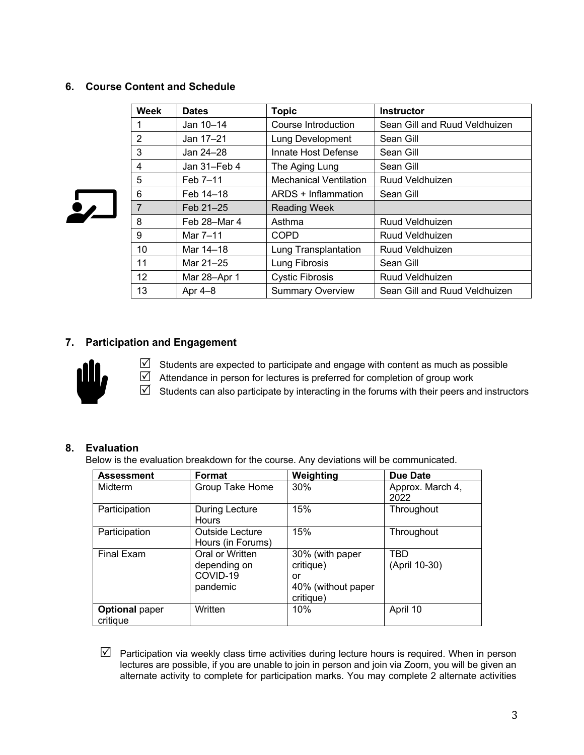# **6. Course Content and Schedule**

| <b>Week</b>       | <b>Dates</b> | <b>Topic</b>                  | <b>Instructor</b>             |
|-------------------|--------------|-------------------------------|-------------------------------|
| 1                 | Jan 10-14    | Course Introduction           | Sean Gill and Ruud Veldhuizen |
| $\overline{2}$    | Jan 17-21    | Lung Development              | Sean Gill                     |
| 3                 | Jan 24-28    | Innate Host Defense           | Sean Gill                     |
| 4                 | Jan 31-Feb 4 | The Aging Lung                | Sean Gill                     |
| 5                 | Feb 7-11     | <b>Mechanical Ventilation</b> | Ruud Veldhuizen               |
| 6                 | Feb 14-18    | ARDS + Inflammation           | Sean Gill                     |
| 7                 | Feb 21-25    | <b>Reading Week</b>           |                               |
| 8                 | Feb 28-Mar 4 | Asthma                        | Ruud Veldhuizen               |
| 9                 | Mar 7-11     | <b>COPD</b>                   | Ruud Veldhuizen               |
| 10                | Mar 14-18    | Lung Transplantation          | Ruud Veldhuizen               |
| 11                | Mar 21-25    | Lung Fibrosis                 | Sean Gill                     |
| $12 \overline{ }$ | Mar 28-Apr 1 | <b>Cystic Fibrosis</b>        | Ruud Veldhuizen               |
| 13                | Apr $4-8$    | <b>Summary Overview</b>       | Sean Gill and Ruud Veldhuizen |

# **7. Participation and Engagement**



 $\overline{\mathbf{S}}$ 

 $\boxtimes$  Students are expected to participate and engage with content as much as possible  $\boxtimes$  Attendance in person for lectures is preferred for completion of group work  $\boxtimes$  Students can also participate by interacting in the forums with their peers and instructors

# **8. Evaluation**

Below is the evaluation breakdown for the course. Any deviations will be communicated.

| <b>Assessment</b>                 | Format                                                  | Weighting                                                             | <b>Due Date</b>             |
|-----------------------------------|---------------------------------------------------------|-----------------------------------------------------------------------|-----------------------------|
| Midterm                           | Group Take Home                                         | 30%                                                                   | Approx. March 4,<br>2022    |
| Participation                     | During Lecture<br>Hours                                 | 15%                                                                   | Throughout                  |
| Participation                     | Outside Lecture<br>Hours (in Forums)                    | 15%                                                                   | Throughout                  |
| <b>Final Exam</b>                 | Oral or Written<br>depending on<br>COVID-19<br>pandemic | 30% (with paper<br>critique)<br>or<br>40% (without paper<br>critique) | <b>TBD</b><br>(April 10-30) |
| <b>Optional paper</b><br>critique | Written                                                 | 10%                                                                   | April 10                    |

 $\boxtimes$  Participation via weekly class time activities during lecture hours is required. When in person lectures are possible, if you are unable to join in person and join via Zoom, you will be given an alternate activity to complete for participation marks. You may complete 2 alternate activities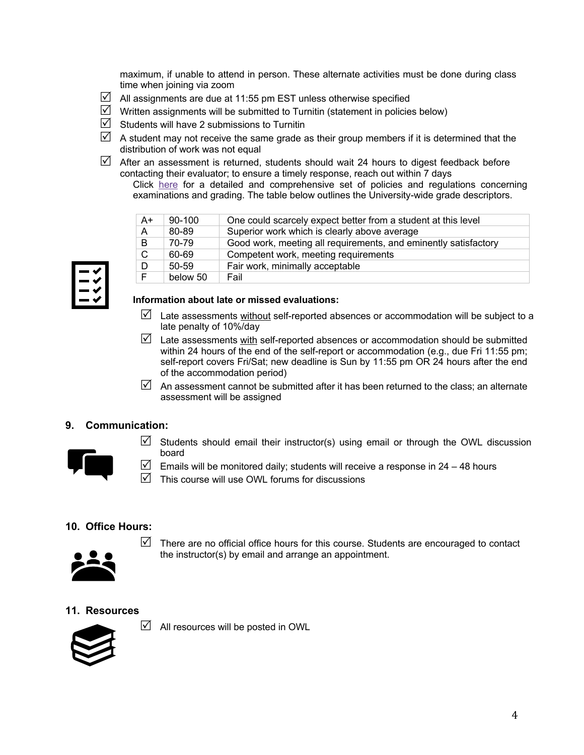maximum, if unable to attend in person. These alternate activities must be done during class time when joining via zoom

- $\boxtimes$  All assignments are due at 11:55 pm EST unless otherwise specified
- $\boxtimes$  Written assignments will be submitted to Turnitin (statement in policies below)
- $\triangledown$  Students will have 2 submissions to Turnitin
- $\boxtimes$  A student may not receive the same grade as their group members if it is determined that the distribution of work was not equal
- $\boxtimes$  After an assessment is returned, students should wait 24 hours to digest feedback before contacting their evaluator; to ensure a timely response, reach out within 7 days
	- Click here for a detailed and comprehensive set of policies and regulations concerning examinations and grading. The table below outlines the University-wide grade descriptors.

| $A+$         | 90-100    | One could scarcely expect better from a student at this level   |
|--------------|-----------|-----------------------------------------------------------------|
| $\mathsf{A}$ | 80-89     | Superior work which is clearly above average                    |
| B            | 70-79     | Good work, meeting all requirements, and eminently satisfactory |
| C            | 60-69     | Competent work, meeting requirements                            |
| D            | $50 - 59$ | Fair work, minimally acceptable                                 |
| E            | below 50  | Fail                                                            |

#### **Information about late or missed evaluations:**

- $\boxtimes$  Late assessments without self-reported absences or accommodation will be subject to a late penalty of 10%/day
- $\boxtimes$  Late assessments with self-reported absences or accommodation should be submitted within 24 hours of the end of the self-report or accommodation (e.g., due Fri 11:55 pm; self-report covers Fri/Sat; new deadline is Sun by 11:55 pm OR 24 hours after the end of the accommodation period)
- $\triangledown$  An assessment cannot be submitted after it has been returned to the class; an alternate assessment will be assigned

# **9. Communication:**



- $\triangledown$  Students should email their instructor(s) using email or through the OWL discussion board
- $\triangledown$  Emails will be monitored daily; students will receive a response in 24 48 hours
- $\triangledown$  This course will use OWL forums for discussions

### **10. Office Hours:**



 $\triangledown$  There are no official office hours for this course. Students are encouraged to contact the instructor(s) by email and arrange an appointment.

### **11. Resources**



 $\boxtimes$  All resources will be posted in OWL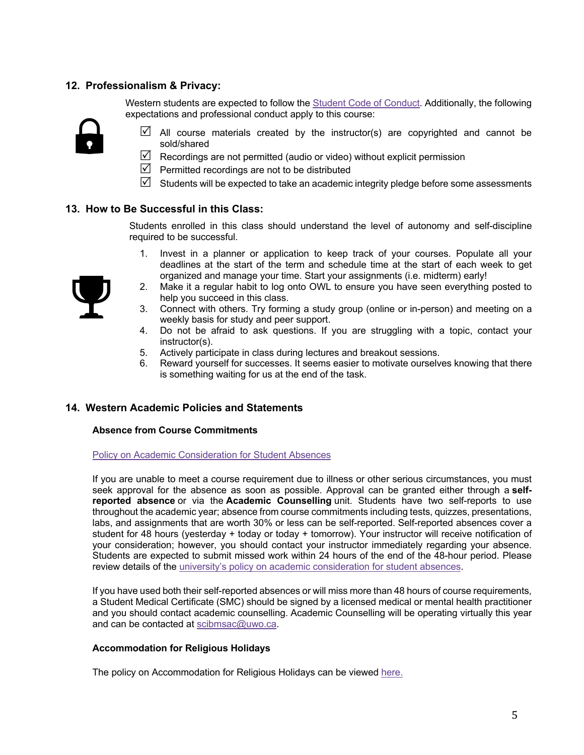# **12. Professionalism & Privacy:**

Western students are expected to follow the Student Code of Conduct. Additionally, the following expectations and professional conduct apply to this course:



- $\boxtimes$  All course materials created by the instructor(s) are copyrighted and cannot be sold/shared
- $\boxtimes$  Recordings are not permitted (audio or video) without explicit permission
- $\triangledown$  Permitted recordings are not to be distributed
- $\boxtimes$  Students will be expected to take an academic integrity pledge before some assessments

### **13. How to Be Successful in this Class:**

Students enrolled in this class should understand the level of autonomy and self-discipline required to be successful.

- 1. Invest in a planner or application to keep track of your courses. Populate all your deadlines at the start of the term and schedule time at the start of each week to get organized and manage your time. Start your assignments (i.e. midterm) early!
- 2. Make it a regular habit to log onto OWL to ensure you have seen everything posted to help you succeed in this class.
- 3. Connect with others. Try forming a study group (online or in-person) and meeting on a weekly basis for study and peer support.
- 4. Do not be afraid to ask questions. If you are struggling with a topic, contact your instructor(s).
- 5. Actively participate in class during lectures and breakout sessions.
- 6. Reward yourself for successes. It seems easier to motivate ourselves knowing that there is something waiting for us at the end of the task.

#### **14. Western Academic Policies and Statements**

#### **Absence from Course Commitments**

Policy on Academic Consideration for Student Absences

If you are unable to meet a course requirement due to illness or other serious circumstances, you must seek approval for the absence as soon as possible. Approval can be granted either through a **selfreported absence** or via the **Academic Counselling** unit. Students have two self-reports to use throughout the academic year; absence from course commitments including tests, quizzes, presentations, labs, and assignments that are worth 30% or less can be self-reported. Self-reported absences cover a student for 48 hours (yesterday + today or today + tomorrow). Your instructor will receive notification of your consideration; however, you should contact your instructor immediately regarding your absence. Students are expected to submit missed work within 24 hours of the end of the 48-hour period. Please review details of the university's policy on academic consideration for student absences.

If you have used both their self-reported absences or will miss more than 48 hours of course requirements, a Student Medical Certificate (SMC) should be signed by a licensed medical or mental health practitioner and you should contact academic counselling. Academic Counselling will be operating virtually this year and can be contacted at scibmsac@uwo.ca.

#### **Accommodation for Religious Holidays**

The policy on Accommodation for Religious Holidays can be viewed here.

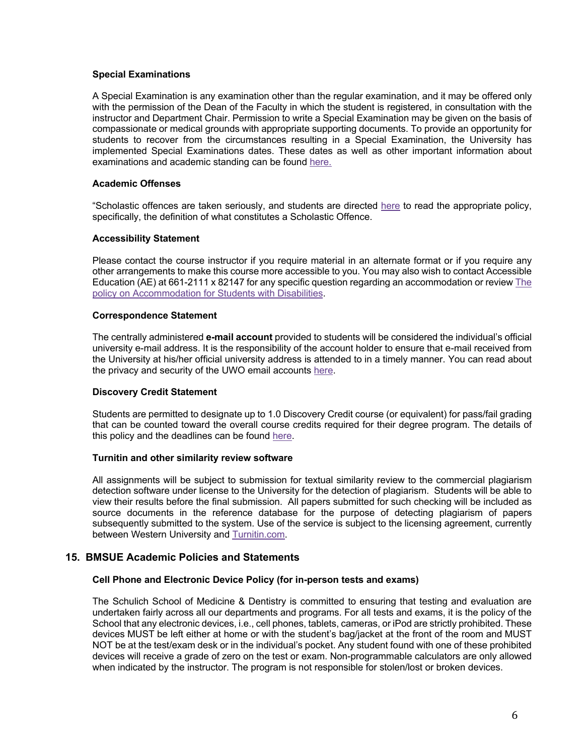#### **Special Examinations**

A Special Examination is any examination other than the regular examination, and it may be offered only with the permission of the Dean of the Faculty in which the student is registered, in consultation with the instructor and Department Chair. Permission to write a Special Examination may be given on the basis of compassionate or medical grounds with appropriate supporting documents. To provide an opportunity for students to recover from the circumstances resulting in a Special Examination, the University has implemented Special Examinations dates. These dates as well as other important information about examinations and academic standing can be found here.

#### **Academic Offenses**

"Scholastic offences are taken seriously, and students are directed here to read the appropriate policy, specifically, the definition of what constitutes a Scholastic Offence.

#### **Accessibility Statement**

Please contact the course instructor if you require material in an alternate format or if you require any other arrangements to make this course more accessible to you. You may also wish to contact Accessible Education (AE) at 661-2111 x 82147 for any specific question regarding an accommodation or review The policy on Accommodation for Students with Disabilities.

#### **Correspondence Statement**

The centrally administered **e-mail account** provided to students will be considered the individual's official university e-mail address. It is the responsibility of the account holder to ensure that e-mail received from the University at his/her official university address is attended to in a timely manner. You can read about the privacy and security of the UWO email accounts here.

### **Discovery Credit Statement**

Students are permitted to designate up to 1.0 Discovery Credit course (or equivalent) for pass/fail grading that can be counted toward the overall course credits required for their degree program. The details of this policy and the deadlines can be found here.

### **Turnitin and other similarity review software**

All assignments will be subject to submission for textual similarity review to the commercial plagiarism detection software under license to the University for the detection of plagiarism. Students will be able to view their results before the final submission. All papers submitted for such checking will be included as source documents in the reference database for the purpose of detecting plagiarism of papers subsequently submitted to the system. Use of the service is subject to the licensing agreement, currently between Western University and Turnitin.com.

### **15. BMSUE Academic Policies and Statements**

### **Cell Phone and Electronic Device Policy (for in-person tests and exams)**

The Schulich School of Medicine & Dentistry is committed to ensuring that testing and evaluation are undertaken fairly across all our departments and programs. For all tests and exams, it is the policy of the School that any electronic devices, i.e., cell phones, tablets, cameras, or iPod are strictly prohibited. These devices MUST be left either at home or with the student's bag/jacket at the front of the room and MUST NOT be at the test/exam desk or in the individual's pocket. Any student found with one of these prohibited devices will receive a grade of zero on the test or exam. Non-programmable calculators are only allowed when indicated by the instructor. The program is not responsible for stolen/lost or broken devices.